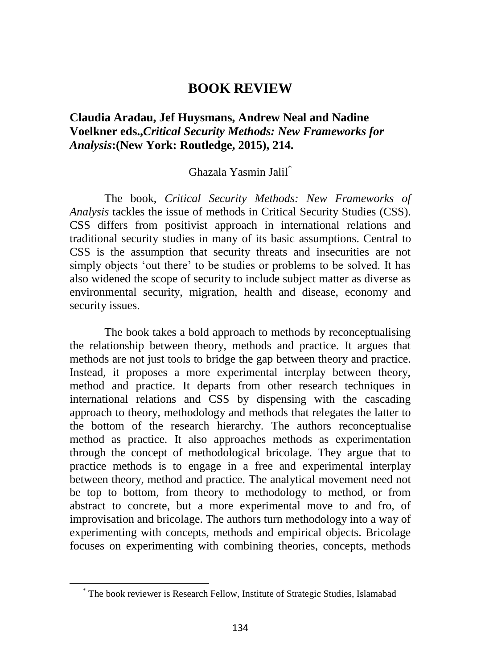## **BOOK REVIEW**

## **Claudia Aradau, Jef Huysmans, Andrew Neal and Nadine Voelkner eds.,***Critical Security Methods: New Frameworks for Analysis***:(New York: Routledge, 2015), 214.**

## Ghazala Yasmin Jalil\*

The book, *Critical Security Methods: New Frameworks of Analysis* tackles the issue of methods in Critical Security Studies (CSS). CSS differs from positivist approach in international relations and traditional security studies in many of its basic assumptions. Central to CSS is the assumption that security threats and insecurities are not simply objects 'out there' to be studies or problems to be solved. It has also widened the scope of security to include subject matter as diverse as environmental security, migration, health and disease, economy and security issues.

The book takes a bold approach to methods by reconceptualising the relationship between theory, methods and practice. It argues that methods are not just tools to bridge the gap between theory and practice. Instead, it proposes a more experimental interplay between theory, method and practice. It departs from other research techniques in international relations and CSS by dispensing with the cascading approach to theory, methodology and methods that relegates the latter to the bottom of the research hierarchy. The authors reconceptualise method as practice. It also approaches methods as experimentation through the concept of methodological bricolage. They argue that to practice methods is to engage in a free and experimental interplay between theory, method and practice. The analytical movement need not be top to bottom, from theory to methodology to method, or from abstract to concrete, but a more experimental move to and fro, of improvisation and bricolage. The authors turn methodology into a way of experimenting with concepts, methods and empirical objects. Bricolage focuses on experimenting with combining theories, concepts, methods

<sup>\*</sup> The book reviewer is Research Fellow, Institute of Strategic Studies, Islamabad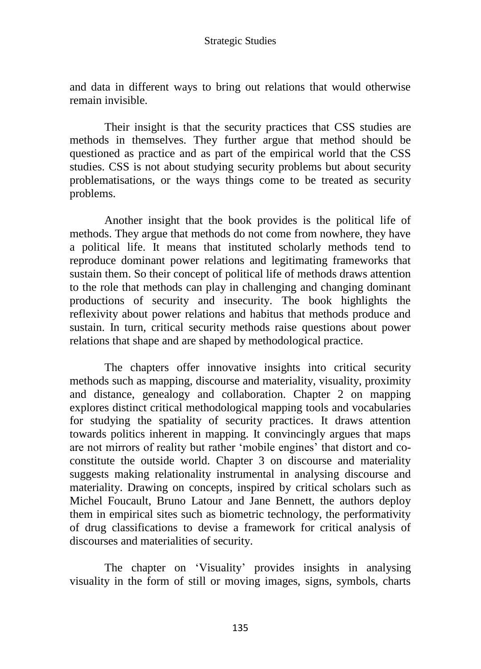and data in different ways to bring out relations that would otherwise remain invisible.

Their insight is that the security practices that CSS studies are methods in themselves. They further argue that method should be questioned as practice and as part of the empirical world that the CSS studies. CSS is not about studying security problems but about security problematisations, or the ways things come to be treated as security problems.

Another insight that the book provides is the political life of methods. They argue that methods do not come from nowhere, they have a political life. It means that instituted scholarly methods tend to reproduce dominant power relations and legitimating frameworks that sustain them. So their concept of political life of methods draws attention to the role that methods can play in challenging and changing dominant productions of security and insecurity. The book highlights the reflexivity about power relations and habitus that methods produce and sustain. In turn, critical security methods raise questions about power relations that shape and are shaped by methodological practice.

The chapters offer innovative insights into critical security methods such as mapping, discourse and materiality, visuality, proximity and distance, genealogy and collaboration. Chapter 2 on mapping explores distinct critical methodological mapping tools and vocabularies for studying the spatiality of security practices. It draws attention towards politics inherent in mapping. It convincingly argues that maps are not mirrors of reality but rather "mobile engines" that distort and coconstitute the outside world. Chapter 3 on discourse and materiality suggests making relationality instrumental in analysing discourse and materiality. Drawing on concepts, inspired by critical scholars such as Michel Foucault, Bruno Latour and Jane Bennett, the authors deploy them in empirical sites such as biometric technology, the performativity of drug classifications to devise a framework for critical analysis of discourses and materialities of security.

The chapter on "Visuality" provides insights in analysing visuality in the form of still or moving images, signs, symbols, charts